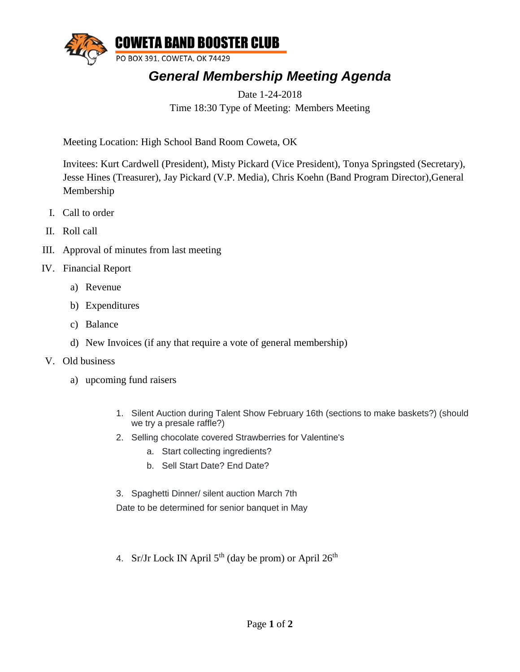

## *General Membership Meeting Agenda*

Date 1-24-2018 Time 18:30 Type of Meeting: Members Meeting

Meeting Location: High School Band Room Coweta, OK

Invitees: Kurt Cardwell (President), Misty Pickard (Vice President), Tonya Springsted (Secretary), Jesse Hines (Treasurer), Jay Pickard (V.P. Media), Chris Koehn (Band Program Director),General Membership

- I. Call to order
- II. Roll call
- III. Approval of minutes from last meeting
- IV. Financial Report
	- a) Revenue
	- b) Expenditures
	- c) Balance
	- d) New Invoices (if any that require a vote of general membership)
- V. Old business
	- a) upcoming fund raisers
		- 1. Silent Auction during Talent Show February 16th (sections to make baskets?) (should we try a presale raffle?)
		- 2. Selling chocolate covered Strawberries for Valentine's
			- a. Start collecting ingredients?
			- b. Sell Start Date? End Date?
		- 3. Spaghetti Dinner/ silent auction March 7th Date to be determined for senior banquet in May
		- 4. Sr/Jr Lock IN April  $5<sup>th</sup>$  (day be prom) or April  $26<sup>th</sup>$